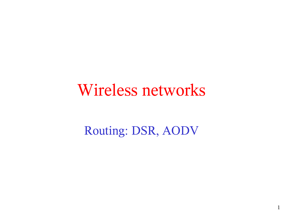#### Wireless networks

#### Routing: DSR, AODV

1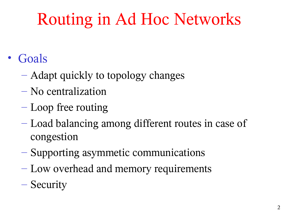## Routing in Ad Hoc Networks

- Goals
	- Adapt quickly to topology changes
	- No centralization
	- Loop free routing
	- Load balancing among different routes in case of congestion
	- Supporting asymmetic communications
	- Low overhead and memory requirements
	- Security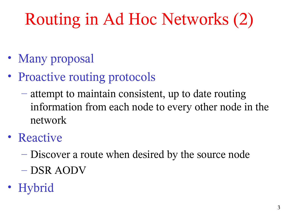# Routing in Ad Hoc Networks (2)

- Many proposal
- Proactive routing protocols
	- attempt to maintain consistent, up to date routing information from each node to every other node in the network
- Reactive
	- Discover a route when desired by the source node
	- DSR AODV
- Hybrid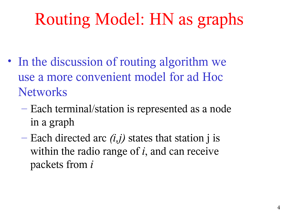## Routing Model: HN as graphs

- In the discussion of routing algorithm we use a more convenient model for ad Hoc **Networks** 
	- Each terminal/station is represented as a node in a graph
	- Each directed arc *(i,j)* states that station j is within the radio range of *i*, and can receive packets from *i*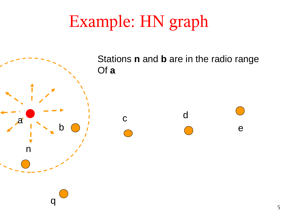## Example: HN graph



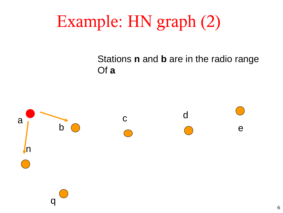## Example: HN graph (2)

#### Stations **n** and **b** are in the radio range Of **a**

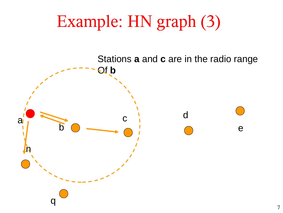## Example: HN graph (3)

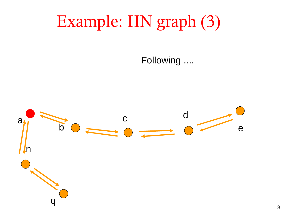## Example: HN graph (3)

Following ....

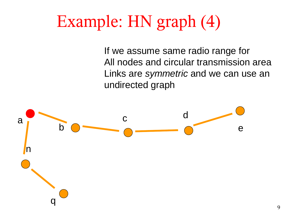## Example: HN graph (4)

If we assume same radio range for All nodes and circular transmission area Links are symmetric and we can use an undirected graph

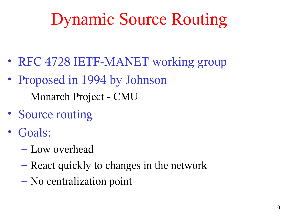## Dynamic Source Routing

- RFC 4728 IETF-MANET working group
- Proposed in 1994 by Johnson
	- Monarch Project CMU
- Source routing
- Goals:
	- Low overhead
	- React quickly to changes in the network
	- No centralization point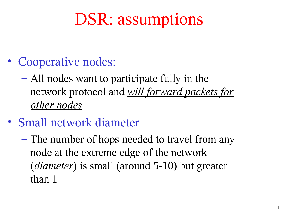### DSR: assumptions

- Cooperative nodes:
	- All nodes want to participate fully in the network protocol and *will forward packets for other nodes*
- Small network diameter
	- The number of hops needed to travel from any node at the extreme edge of the network (*diameter*) is small (around 5-10) but greater than 1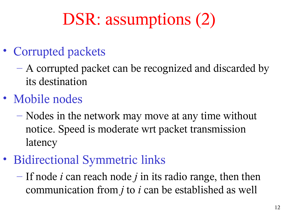## DSR: assumptions (2)

- Corrupted packets
	- A corrupted packet can be recognized and discarded by its destination
- Mobile nodes
	- Nodes in the network may move at any time without notice. Speed is moderate wrt packet transmission latency
- Bidirectional Symmetric links
	- If node *i* can reach node *j* in its radio range, then then communication from *j* to *i* can be established as well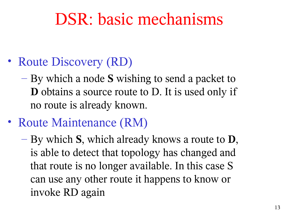#### DSR: basic mechanisms

- Route Discovery (RD)
	- By which a node **S** wishing to send a packet to **D** obtains a source route to D. It is used only if no route is already known.
- Route Maintenance (RM)
	- By which **S**, which already knows a route to **D**, is able to detect that topology has changed and that route is no longer available. In this case S can use any other route it happens to know or invoke RD again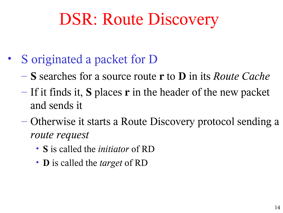## DSR: Route Discovery

- S originated a packet for D
	- **S** searches for a source route **r** to **D** in its *Route Cache*
	- If it finds it, **S** places **r** in the header of the new packet and sends it
	- Otherwise it starts a Route Discovery protocol sending a *route request*
		- **S** is called the *initiator* of RD
		- **D** is called the *target* of RD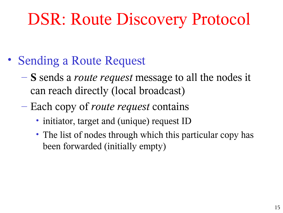## DSR: Route Discovery Protocol

- Sending a Route Request
	- **S** sends a *route request* message to all the nodes it can reach directly (local broadcast)
	- Each copy of *route request* contains
		- initiator, target and (unique) request ID
		- The list of nodes through which this particular copy has been forwarded (initially empty)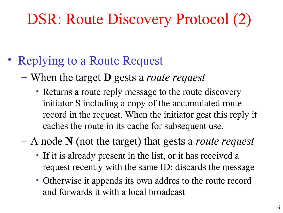#### DSR: Route Discovery Protocol (2)

- Replying to a Route Request
	- When the target **D** gests a *route request*
		- Returns a route reply message to the route discovery initiator S including a copy of the accumulated route record in the request. When the initiator gest this reply it caches the route in its cache for subsequent use.

– A node **N** (not the target) that gests a *route request*

- If it is already present in the list, or it has received a request recently with the same ID: discards the message
- Otherwise it appends its own addres to the route record and forwards it with a local broadcast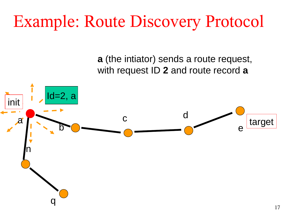## Example: Route Discovery Protocol

**a** (the intiator) sends a route request, with request ID **2** and route record **a**

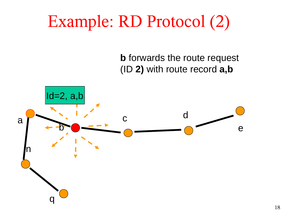## Example: RD Protocol (2)

**b** forwards the route request (ID **2)** with route record **a,b**

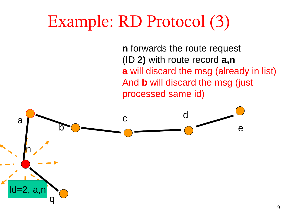## Example: RD Protocol (3)

**n** forwards the route request (ID **2)** with route record **a,n a** will discard the msg (already in list) And **b** will discard the msg (just processed same id)

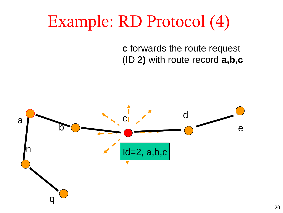## Example: RD Protocol (4)

**c** forwards the route request (ID **2)** with route record **a,b,c**

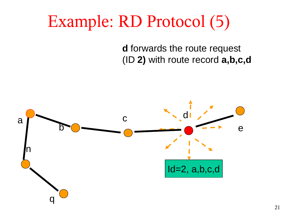## Example: RD Protocol (5)

**d** forwards the route request (ID **2)** with route record **a,b,c,d**

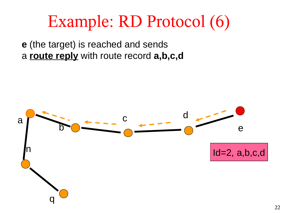### Example: RD Protocol (6)

**e** (the target) is reached and sends a **route reply** with route record **a,b,c,d**

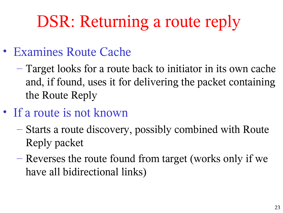## DSR: Returning a route reply

- Examines Route Cache
	- Target looks for a route back to initiator in its own cache and, if found, uses it for delivering the packet containing the Route Reply
- If a route is not known
	- Starts a route discovery, possibly combined with Route Reply packet
	- Reverses the route found from target (works only if we have all bidirectional links)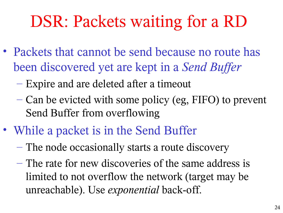## DSR: Packets waiting for a RD

- Packets that cannot be send because no route has been discovered yet are kept in a *Send Buffer*
	- Expire and are deleted after a timeout
	- Can be evicted with some policy (eg, FIFO) to prevent Send Buffer from overflowing
- While a packet is in the Send Buffer
	- The node occasionally starts a route discovery
	- The rate for new discoveries of the same address is limited to not overflow the network (target may be unreachable). Use *exponential* back-off.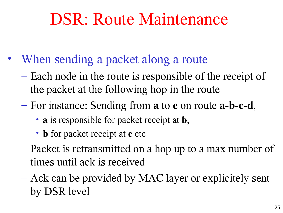#### DSR: Route Maintenance

- When sending a packet along a route
	- Each node in the route is responsible of the receipt of the packet at the following hop in the route
	- For instance: Sending from **a** to **e** on route **a-b-c-d**,
		- **a** is responsible for packet receipt at **b**,
		- **b** for packet receipt at **c** etc
	- Packet is retransmitted on a hop up to a max number of times until ack is received
	- Ack can be provided by MAC layer or explicitely sent by DSR level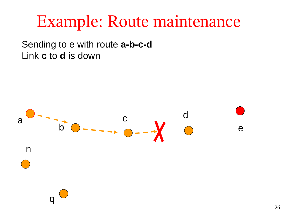#### Example: Route maintenance

Sending to e with route **a-b-c-d** Link **c** to **d** is down

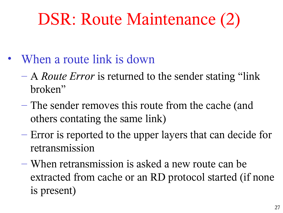## DSR: Route Maintenance (2)

- When a route link is down
	- A *Route Error* is returned to the sender stating "link broken"
	- The sender removes this route from the cache (and others contating the same link)
	- Error is reported to the upper layers that can decide for retransmission
	- When retransmission is asked a new route can be extracted from cache or an RD protocol started (if none is present)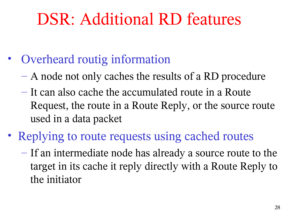### DSR: Additional RD features

- Overheard routig information
	- A node not only caches the results of a RD procedure
	- It can also cache the accumulated route in a Route Request, the route in a Route Reply, or the source route used in a data packet
- Replying to route requests using cached routes
	- If an intermediate node has already a source route to the target in its cache it reply directly with a Route Reply to the initiator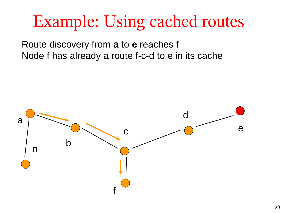### Example: Using cached routes

Route discovery from **a** to **e** reaches **f** Node f has already a route f-c-d to e in its cache

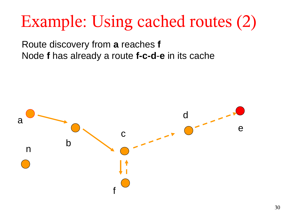## Example: Using cached routes (2)

Route discovery from **a** reaches **f** Node **f** has already a route **f-c-d**-**e** in its cache

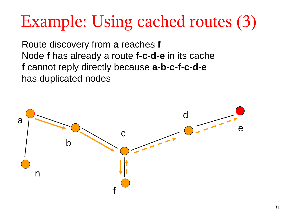## Example: Using cached routes (3)

Route discovery from **a** reaches **f** Node **f** has already a route **f-c-d**-**e** in its cache **f** cannot reply directly because **a-b-c-f-c-d-e** has duplicated nodes

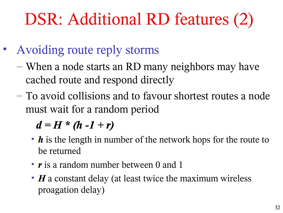## DSR: Additional RD features (2)

- Avoiding route reply storms
	- When a node starts an RD many neighbors may have cached route and respond directly
	- To avoid collisions and to favour shortest routes a node must wait for a random period

 $d = H * (h -1 + r)$ 

- *h* is the length in number of the network hops for the route to be returned
- *r* is a random number between 0 and 1
- *H* a constant delay (at least twice the maximum wireless proagation delay)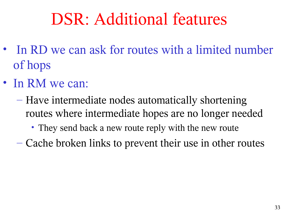### DSR: Additional features

- In RD we can ask for routes with a limited number of hops
- In RM we can:
	- Have intermediate nodes automatically shortening routes where intermediate hopes are no longer needed
		- They send back a new route reply with the new route
	- Cache broken links to prevent their use in other routes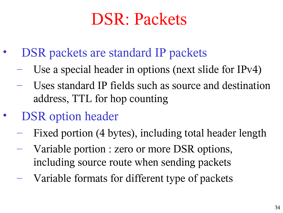### DSR: Packets

- DSR packets are standard IP packets
	- Use a special header in options (next slide for IPv4)
	- Uses standard IP fields such as source and destination address, TTL for hop counting
- DSR option header
	- Fixed portion (4 bytes), including total header length
	- Variable portion : zero or more DSR options, including source route when sending packets
	- Variable formats for different type of packets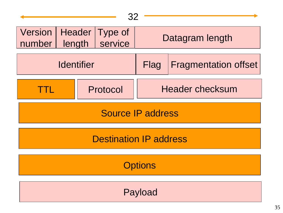| 32                                   |                   |                        |                             |
|--------------------------------------|-------------------|------------------------|-----------------------------|
| Version   Header   Type of<br>number | length<br>service | Datagram length        |                             |
| <b>Identifier</b>                    |                   | <b>Flag</b>            | <b>Fragmentation offset</b> |
| an di Ba                             | Protocol          | <b>Header checksum</b> |                             |
| Source IP address                    |                   |                        |                             |
| <b>Destination IP address</b>        |                   |                        |                             |
| <b>Options</b>                       |                   |                        |                             |
| Payload                              |                   |                        |                             |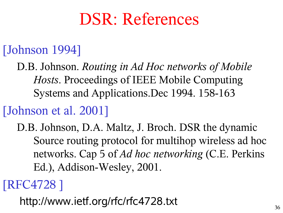#### DSR: References

#### [Johnson 1994]

D.B. Johnson. *Routing in Ad Hoc networks of Mobile Hosts*. Proceedings of IEEE Mobile Computing Systems and Applications.Dec 1994. 158-163

#### [Johnson et al. 2001]

D.B. Johnson, D.A. Maltz, J. Broch. DSR the dynamic Source routing protocol for multihop wireless ad hoc networks. Cap 5 of *Ad hoc networking* (C.E. Perkins Ed.), Addison-Wesley, 2001.

#### [RFC4728 ]

http://www.ietf.org/rfc/rfc4728.txt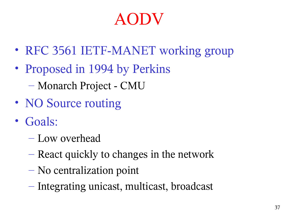#### AODV

- RFC 3561 IETF-MANET working group
- Proposed in 1994 by Perkins
	- Monarch Project CMU
- NO Source routing
- Goals:
	- Low overhead
	- React quickly to changes in the network
	- No centralization point
	- Integrating unicast, multicast, broadcast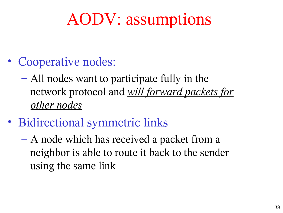#### AODV: assumptions

- Cooperative nodes:
	- All nodes want to participate fully in the network protocol and *will forward packets for other nodes*
- Bidirectional symmetric links
	- A node which has received a packet from a neighbor is able to route it back to the sender using the same link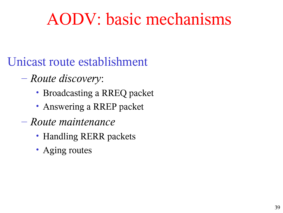#### AODV: basic mechanisms

#### Unicast route establishment

- *Route discovery*:
	- Broadcasting a RREQ packet
	- Answering a RREP packet
- *Route maintenance*
	- Handling RERR packets
	- Aging routes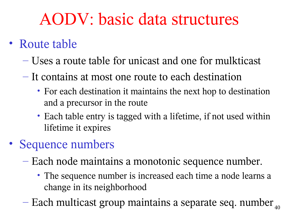#### AODV: basic data structures

- Route table
	- Uses a route table for unicast and one for mulkticast
	- It contains at most one route to each destination
		- For each destination it maintains the next hop to destination and a precursor in the route
		- Each table entry is tagged with a lifetime, if not used within lifetime it expires
- Sequence numbers
	- Each node maintains a monotonic sequence number.
		- The sequence number is increased each time a node learns a change in its neighborhood
	- $-$  Each multicast group maintains a separate seq. number  $_{40}$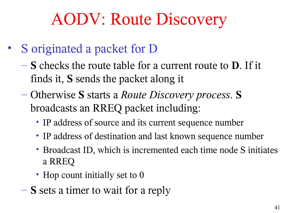#### AODV: Route Discovery

- S originated a packet for D
	- **S** checks the route table for a current route to **D**. If it finds it, **S** sends the packet along it
	- Otherwise **S** starts a *Route Discovery process*. **S** broadcasts an RREQ packet including:
		- IP address of source and its current sequence number
		- IP address of destination and last known sequence number
		- Broadcast ID, which is incremented each time node S initiates a RREQ
		- Hop count initially set to 0
	- **S** sets a timer to wait for a reply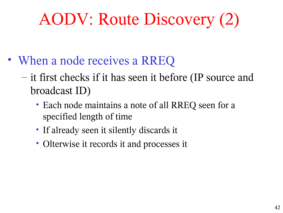### AODV: Route Discovery (2)

- When a node receives a RREQ
	- it first checks if it has seen it before (IP source and broadcast ID)
		- Each node maintains a note of all RREQ seen for a specified length of time
		- If already seen it silently discards it
		- Olterwise it records it and processes it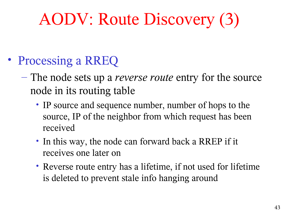## AODV: Route Discovery (3)

- Processing a RREQ
	- The node sets up a *reverse route* entry for the source node in its routing table
		- IP source and sequence number, number of hops to the source, IP of the neighbor from which request has been received
		- In this way, the node can forward back a RREP if it receives one later on
		- Reverse route entry has a lifetime, if not used for lifetime is deleted to prevent stale info hanging around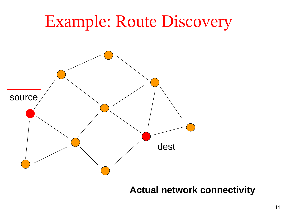

#### **Actual network connectivity**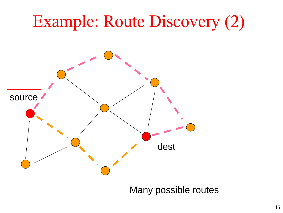#### Example: Route Discovery (2)



Many possible routes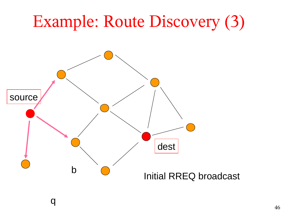## Example: Route Discovery (3)



q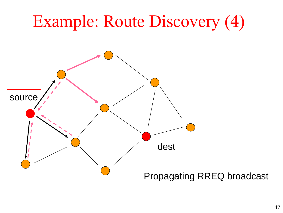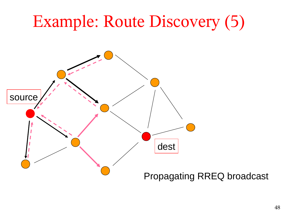# Example: Route Discovery (5) Propagating RREQ broadcast dest source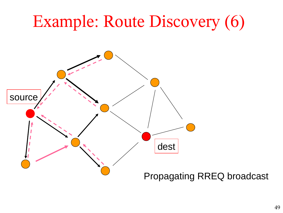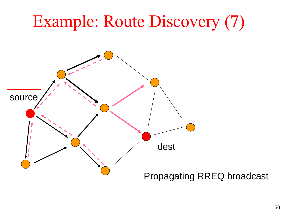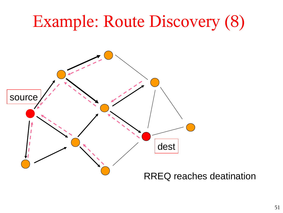# Example: Route Discovery (8) RREQ reaches deatination dest source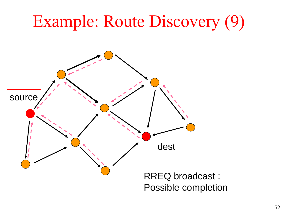## Example: Route Discovery (9)

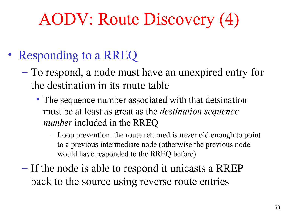### AODV: Route Discovery (4)

- Responding to a RREQ
	- To respond, a node must have an unexpired entry for the destination in its route table
		- The sequence number associated with that detsination must be at least as great as the *destination sequence number* included in the RREQ
			- Loop prevention: the route returned is never old enough to point to a previous intermediate node (otherwise the previous node would have responded to the RREQ before)
	- If the node is able to respond it unicasts a RREP back to the source using reverse route entries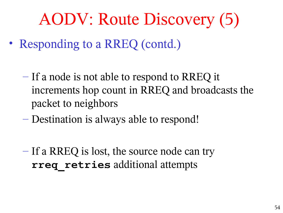#### AODV: Route Discovery (5)

- Responding to a RREQ (contd.)
	- If a node is not able to respond to RREQ it increments hop count in RREQ and broadcasts the packet to neighbors
	- Destination is always able to respond!
	- If a RREQ is lost, the source node can try **rreq\_retries** additional attempts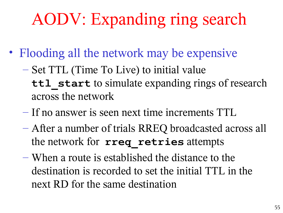#### AODV: Expanding ring search

- Flooding all the network may be expensive
	- Set TTL (Time To Live) to initial value ttl start to simulate expanding rings of research across the network
	- If no answer is seen next time increments TTL
	- After a number of trials RREQ broadcasted across all the network for **rreq\_retries** attempts
	- When a route is established the distance to the destination is recorded to set the initial TTL in the next RD for the same destination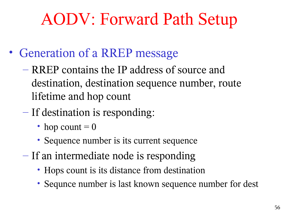#### AODV: Forward Path Setup

- Generation of a RREP message
	- RREP contains the IP address of source and destination, destination sequence number, route lifetime and hop count
	- If destination is responding:
		- hop count  $= 0$
		- Sequence number is its current sequence
	- If an intermediate node is responding
		- Hops count is its distance from destination
		- Sequnce number is last known sequence number for dest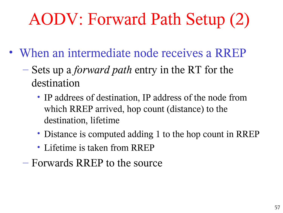## AODV: Forward Path Setup (2)

- When an intermediate node receives a RREP
	- Sets up a *forward path* entry in the RT for the destination
		- IP addrees of destination, IP address of the node from which RREP arrived, hop count (distance) to the destination, lifetime
		- Distance is computed adding 1 to the hop count in RREP
		- Lifetime is taken from RREP
	- Forwards RREP to the source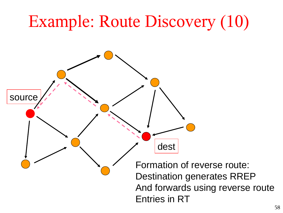#### Example: Route Discovery (10)

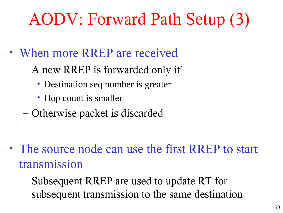#### AODV: Forward Path Setup (3)

- When more RREP are received
	- A new RREP is forwarded only if
		- Destination seq number is greater
		- Hop count is smaller
	- Otherwise packet is discarded

- The source node can use the first RREP to start transmission
	- Subsequent RREP are used to update RT for subsequent transmission to the same destination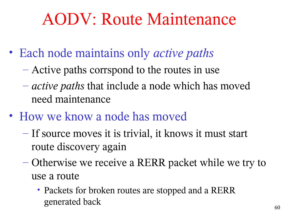#### AODV: Route Maintenance

- Each node maintains only *active paths*
	- Active paths corrspond to the routes in use
	- *active paths* that include a node which has moved need maintenance
- How we know a node has moved
	- If source moves it is trivial, it knows it must start route discovery again
	- Otherwise we receive a RERR packet while we try to use a route
		- Packets for broken routes are stopped and a RERR generated back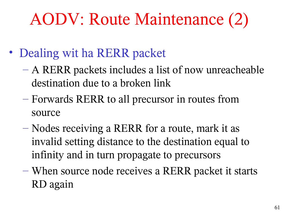#### AODV: Route Maintenance (2)

- Dealing wit ha RERR packet
	- A RERR packets includes a list of now unreacheable destination due to a broken link
	- Forwards RERR to all precursor in routes from source
	- Nodes receiving a RERR for a route, mark it as invalid setting distance to the destination equal to infinity and in turn propagate to precursors
	- When source node receives a RERR packet it starts RD again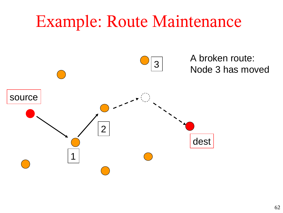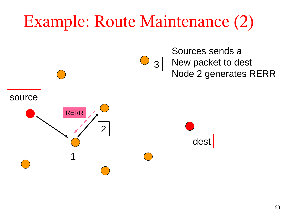#### Example: Route Maintenance (2)



Sources sends a New packet to dest Node 2 generates RERR

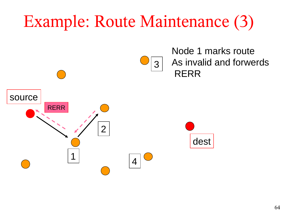#### Example: Route Maintenance (3)

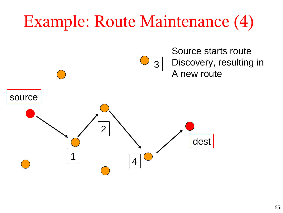#### Example: Route Maintenance (4)

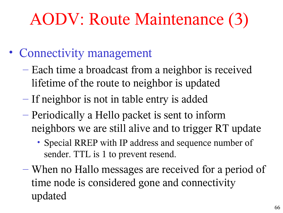#### AODV: Route Maintenance (3)

- Connectivity management
	- Each time a broadcast from a neighbor is received lifetime of the route to neighbor is updated
	- If neighbor is not in table entry is added
	- Periodically a Hello packet is sent to inform neighbors we are still alive and to trigger RT update
		- Special RREP with IP address and sequence number of sender. TTL is 1 to prevent resend.
	- When no Hallo messages are received for a period of time node is considered gone and connectivity updated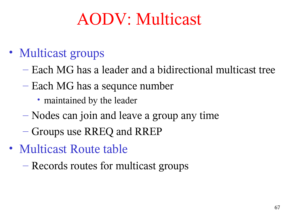#### AODV: Multicast

- Multicast groups
	- Each MG has a leader and a bidirectional multicast tree
	- Each MG has a sequnce number
		- maintained by the leader
	- Nodes can join and leave a group any time
	- Groups use RREQ and RREP
- Multicast Route table
	- Records routes for multicast groups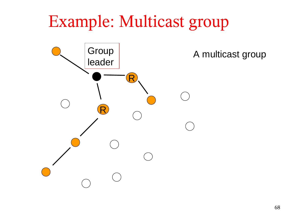#### Example: Multicast group



A multicast group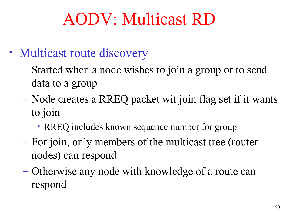#### AODV: Multicast RD

- Multicast route discovery
	- Started when a node wishes to join a group or to send data to a group
	- Node creates a RREQ packet wit join flag set if it wants to join
		- RREQ includes known sequence number for group
	- For join, only members of the multicast tree (router nodes) can respond
	- Otherwise any node with knowledge of a route can respond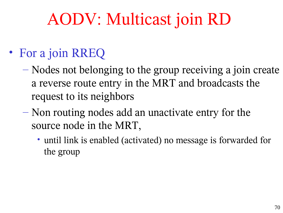#### AODV: Multicast join RD

#### • For a join RREQ

- Nodes not belonging to the group receiving a join create a reverse route entry in the MRT and broadcasts the request to its neighbors
- Non routing nodes add an unactivate entry for the source node in the MRT,
	- until link is enabled (activated) no message is forwarded for the group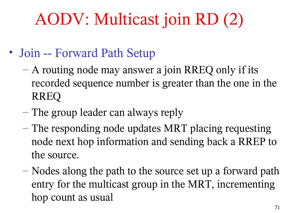#### AODV: Multicast join RD (2)

- Join -- Forward Path Setup
	- A routing node may answer a join RREQ only if its recorded sequence number is greater than the one in the RREQ
	- The group leader can always reply
	- The responding node updates MRT placing requesting node next hop information and sending back a RREP to the source.
	- Nodes along the path to the source set up a forward path entry for the multicast group in the MRT, incrementing hop count as usual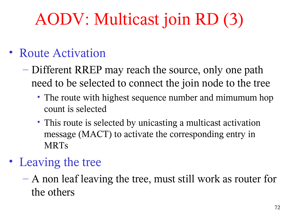### AODV: Multicast join RD (3)

#### • Route Activation

- Different RREP may reach the source, only one path need to be selected to connect the join node to the tree
	- The route with highest sequence number and mimumum hop count is selected
	- This route is selected by unicasting a multicast activation message (MACT) to activate the corresponding entry in MRTs
- Leaving the tree
	- A non leaf leaving the tree, must still work as router for the others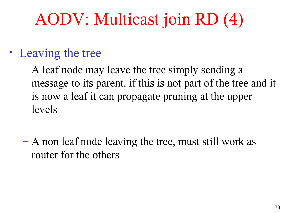### AODV: Multicast join RD (4)

- Leaving the tree
	- $-$  A leaf node may leave the tree simply sending a message to its parent, if this is not part of the tree and it is now a leaf it can propagate pruning at the upper levels
	- A non leaf node leaving the tree, must still work as router for the others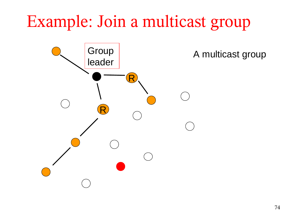### Example: Join a multicast group



A multicast group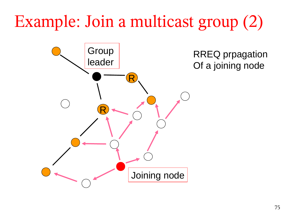### Example: Join a multicast group (2)

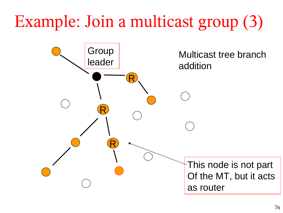### Example: Join a multicast group (3)

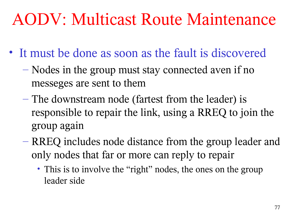### AODV: Multicast Route Maintenance

- It must be done as soon as the fault is discovered
	- Nodes in the group must stay connected aven if no messeges are sent to them
	- The downstream node (fartest from the leader) is responsible to repair the link, using a RREQ to join the group again
	- RREQ includes node distance from the group leader and only nodes that far or more can reply to repair
		- This is to involve the "right" nodes, the ones on the group leader side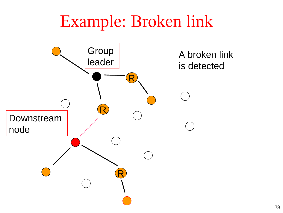### Example: Broken link

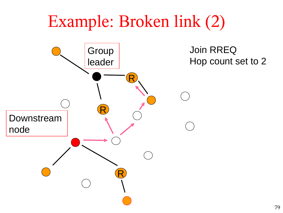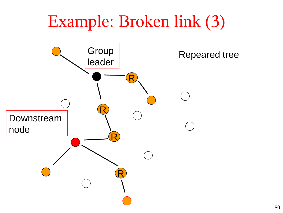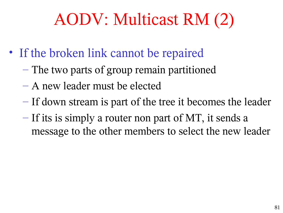### AODV: Multicast RM (2)

- If the broken link cannot be repaired
	- The two parts of group remain partitioned
	- A new leader must be elected
	- If down stream is part of the tree it becomes the leader
	- If its is simply a router non part of MT, it sends a message to the other members to select the new leader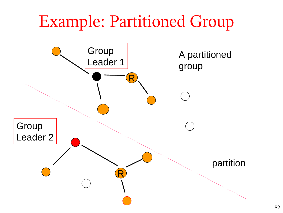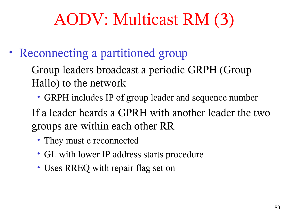## AODV: Multicast RM (3)

- Reconnecting a partitioned group
	- Group leaders broadcast a periodic GRPH (Group Hallo) to the network
		- GRPH includes IP of group leader and sequence number
	- If a leader heards a GPRH with another leader the two groups are within each other RR
		- They must e reconnected
		- GL with lower IP address starts procedure
		- Uses RREQ with repair flag set on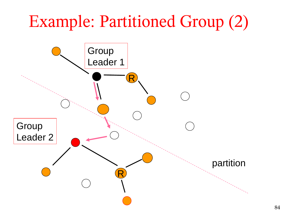# Example: Partitioned Group (2) Group Leader 1 R R **Group** Leader 2 partition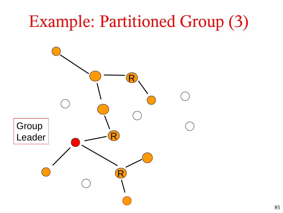# Example: Partitioned Group (3) R R Group Leader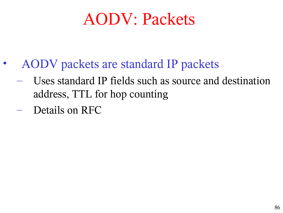### AODV: Packets

- AODV packets are standard IP packets
	- Uses standard IP fields such as source and destination address, TTL for hop counting
	- Details on RFC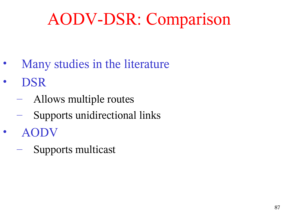### AODV-DSR: Comparison

- Many studies in the literature
- DSR
	- Allows multiple routes
	- Supports unidirectional links
- AODV
	- Supports multicast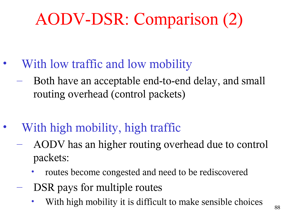## AODV-DSR: Comparison (2)

- With low traffic and low mobility
	- Both have an acceptable end-to-end delay, and small routing overhead (control packets)
- With high mobility, high traffic
	- AODV has an higher routing overhead due to control packets:
		- routes become congested and need to be rediscovered
	- DSR pays for multiple routes
		- With high mobility it is difficult to make sensible choices